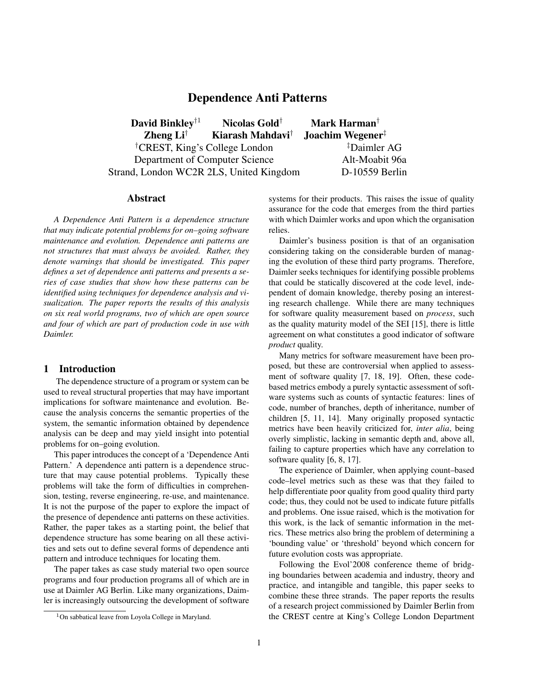# Dependence Anti Patterns

David Binkley<sup>†1</sup> Nicolas Gold<sup>†</sup> Mark Harman<sup>†</sup> Zheng Li<sup>†</sup> Kiarash Mahdavi<sup>†</sup> Joachim Wegener<sup>‡</sup> †CREST, King's College London ‡Daimler AG Department of Computer Science Alt-Moabit 96a Strand, London WC2R 2LS, United Kingdom D-10559 Berlin

#### Abstract

*A Dependence Anti Pattern is a dependence structure that may indicate potential problems for on–going software maintenance and evolution. Dependence anti patterns are not structures that must always be avoided. Rather, they denote warnings that should be investigated. This paper defines a set of dependence anti patterns and presents a series of case studies that show how these patterns can be identified using techniques for dependence analysis and visualization. The paper reports the results of this analysis on six real world programs, two of which are open source and four of which are part of production code in use with Daimler.*

### 1 Introduction

The dependence structure of a program or system can be used to reveal structural properties that may have important implications for software maintenance and evolution. Because the analysis concerns the semantic properties of the system, the semantic information obtained by dependence analysis can be deep and may yield insight into potential problems for on–going evolution.

This paper introduces the concept of a 'Dependence Anti Pattern.' A dependence anti pattern is a dependence structure that may cause potential problems. Typically these problems will take the form of difficulties in comprehension, testing, reverse engineering, re-use, and maintenance. It is not the purpose of the paper to explore the impact of the presence of dependence anti patterns on these activities. Rather, the paper takes as a starting point, the belief that dependence structure has some bearing on all these activities and sets out to define several forms of dependence anti pattern and introduce techniques for locating them.

The paper takes as case study material two open source programs and four production programs all of which are in use at Daimler AG Berlin. Like many organizations, Daimler is increasingly outsourcing the development of software systems for their products. This raises the issue of quality assurance for the code that emerges from the third parties with which Daimler works and upon which the organisation relies.

Daimler's business position is that of an organisation considering taking on the considerable burden of managing the evolution of these third party programs. Therefore, Daimler seeks techniques for identifying possible problems that could be statically discovered at the code level, independent of domain knowledge, thereby posing an interesting research challenge. While there are many techniques for software quality measurement based on *process*, such as the quality maturity model of the SEI [15], there is little agreement on what constitutes a good indicator of software *product* quality.

Many metrics for software measurement have been proposed, but these are controversial when applied to assessment of software quality [7, 18, 19]. Often, these codebased metrics embody a purely syntactic assessment of software systems such as counts of syntactic features: lines of code, number of branches, depth of inheritance, number of children [5, 11, 14]. Many originally proposed syntactic metrics have been heavily criticized for, *inter alia*, being overly simplistic, lacking in semantic depth and, above all, failing to capture properties which have any correlation to software quality [6, 8, 17].

The experience of Daimler, when applying count–based code–level metrics such as these was that they failed to help differentiate poor quality from good quality third party code; thus, they could not be used to indicate future pitfalls and problems. One issue raised, which is the motivation for this work, is the lack of semantic information in the metrics. These metrics also bring the problem of determining a 'bounding value' or 'threshold' beyond which concern for future evolution costs was appropriate.

Following the Evol'2008 conference theme of bridging boundaries between academia and industry, theory and practice, and intangible and tangible, this paper seeks to combine these three strands. The paper reports the results of a research project commissioned by Daimler Berlin from the CREST centre at King's College London Department

<sup>&</sup>lt;sup>1</sup>On sabbatical leave from Loyola College in Maryland.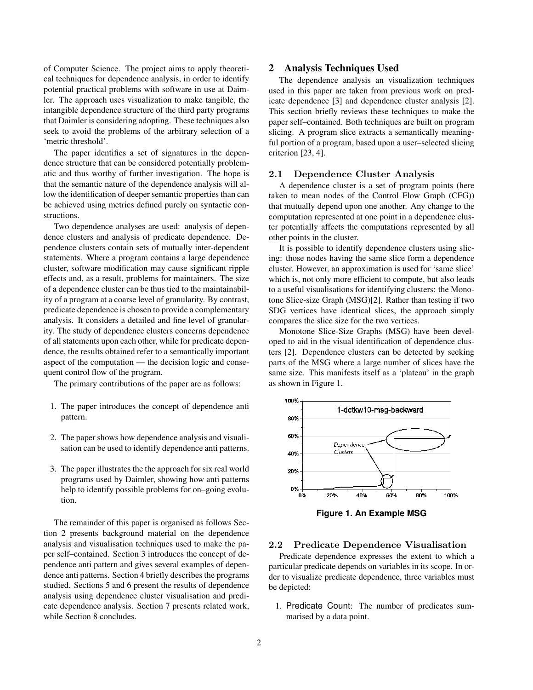of Computer Science. The project aims to apply theoretical techniques for dependence analysis, in order to identify potential practical problems with software in use at Daimler. The approach uses visualization to make tangible, the intangible dependence structure of the third party programs that Daimler is considering adopting. These techniques also seek to avoid the problems of the arbitrary selection of a 'metric threshold'.

The paper identifies a set of signatures in the dependence structure that can be considered potentially problematic and thus worthy of further investigation. The hope is that the semantic nature of the dependence analysis will allow the identification of deeper semantic properties than can be achieved using metrics defined purely on syntactic constructions.

Two dependence analyses are used: analysis of dependence clusters and analysis of predicate dependence. Dependence clusters contain sets of mutually inter-dependent statements. Where a program contains a large dependence cluster, software modification may cause significant ripple effects and, as a result, problems for maintainers. The size of a dependence cluster can be thus tied to the maintainability of a program at a coarse level of granularity. By contrast, predicate dependence is chosen to provide a complementary analysis. It considers a detailed and fine level of granularity. The study of dependence clusters concerns dependence of all statements upon each other, while for predicate dependence, the results obtained refer to a semantically important aspect of the computation — the decision logic and consequent control flow of the program.

The primary contributions of the paper are as follows:

- 1. The paper introduces the concept of dependence anti pattern.
- 2. The paper shows how dependence analysis and visualisation can be used to identify dependence anti patterns.
- 3. The paper illustrates the the approach for six real world programs used by Daimler, showing how anti patterns help to identify possible problems for on–going evolution.

The remainder of this paper is organised as follows Section 2 presents background material on the dependence analysis and visualisation techniques used to make the paper self–contained. Section 3 introduces the concept of dependence anti pattern and gives several examples of dependence anti patterns. Section 4 briefly describes the programs studied. Sections 5 and 6 present the results of dependence analysis using dependence cluster visualisation and predicate dependence analysis. Section 7 presents related work, while Section 8 concludes.

### 2 Analysis Techniques Used

The dependence analysis an visualization techniques used in this paper are taken from previous work on predicate dependence [3] and dependence cluster analysis [2]. This section briefly reviews these techniques to make the paper self–contained. Both techniques are built on program slicing. A program slice extracts a semantically meaningful portion of a program, based upon a user–selected slicing criterion [23, 4].

#### 2.1 Dependence Cluster Analysis

A dependence cluster is a set of program points (here taken to mean nodes of the Control Flow Graph (CFG)) that mutually depend upon one another. Any change to the computation represented at one point in a dependence cluster potentially affects the computations represented by all other points in the cluster.

It is possible to identify dependence clusters using slicing: those nodes having the same slice form a dependence cluster. However, an approximation is used for 'same slice' which is, not only more efficient to compute, but also leads to a useful visualisations for identifying clusters: the Monotone Slice-size Graph (MSG)[2]. Rather than testing if two SDG vertices have identical slices, the approach simply compares the slice size for the two vertices.

Monotone Slice-Size Graphs (MSG) have been developed to aid in the visual identification of dependence clusters [2]. Dependence clusters can be detected by seeking parts of the MSG where a large number of slices have the same size. This manifests itself as a 'plateau' in the graph as shown in Figure 1.



**Figure 1. An Example MSG**

#### 2.2 Predicate Dependence Visualisation

Predicate dependence expresses the extent to which a particular predicate depends on variables in its scope. In order to visualize predicate dependence, three variables must be depicted:

1. Predicate Count: The number of predicates summarised by a data point.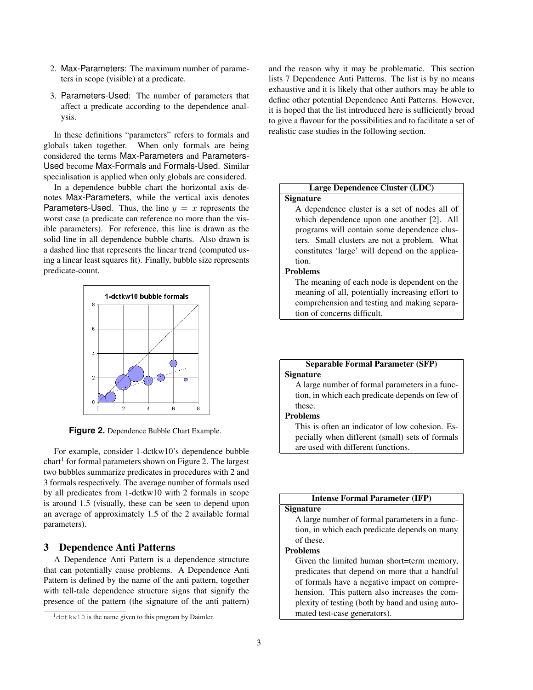- 2. Max-Parameters: The maximum number of parameters in scope (visible) at a predicate.
- 3. Parameters-Used: The number of parameters that affect a predicate according to the dependence analysis.

In these definitions "parameters" refers to formals and globals taken together. When only formals are being considered the terms Max-Parameters and Parameters-Used become Max-Formals and Formals-Used. Similar specialisation is applied when only globals are considered.

In a dependence bubble chart the horizontal axis denotes Max-Parameters, while the vertical axis denotes Parameters-Used. Thus, the line  $y = x$  represents the worst case (a predicate can reference no more than the visible parameters). For reference, this line is drawn as the solid line in all dependence bubble charts. Also drawn is a dashed line that represents the linear trend (computed using a linear least squares fit). Finally, bubble size represents predicate-count.



**Figure 2.** Dependence Bubble Chart Example.

For example, consider 1-dctkw10's dependence bubble chart<sup>1</sup> for formal parameters shown on Figure 2. The largest two bubbles summarize predicates in procedures with 2 and 3 formals respectively. The average number of formals used by all predicates from 1-dctkw10 with 2 formals in scope is around 1.5 (visually, these can be seen to depend upon an average of approximately 1.5 of the 2 available formal parameters).

### 3 Dependence Anti Patterns

A Dependence Anti Pattern is a dependence structure that can potentially cause problems. A Dependence Anti Pattern is defined by the name of the anti pattern, together with tell-tale dependence structure signs that signify the presence of the pattern (the signature of the anti pattern) and the reason why it may be problematic. This section lists 7 Dependence Anti Patterns. The list is by no means exhaustive and it is likely that other authors may be able to define other potential Dependence Anti Patterns. However, it is hoped that the list introduced here is sufficiently broad to give a flavour for the possibilities and to facilitate a set of realistic case studies in the following section.

# Large Dependence Cluster (LDC)

# **Signature**

A dependence cluster is a set of nodes all of which dependence upon one another [2]. All programs will contain some dependence clusters. Small clusters are not a problem. What constitutes 'large' will depend on the application.

#### Problems

The meaning of each node is dependent on the meaning of all, potentially increasing effort to comprehension and testing and making separation of concerns difficult.

## Separable Formal Parameter (SFP) **Signature**

A large number of formal parameters in a function, in which each predicate depends on few of these.

# Problems

This is often an indicator of low cohesion. Especially when different (small) sets of formals are used with different functions.

# Intense Formal Parameter (IFP)

### **Signature**

A large number of formal parameters in a function, in which each predicate depends on many of these.

### Problems

Given the limited human short=term memory, predicates that depend on more that a handful of formals have a negative impact on comprehension. This pattern also increases the complexity of testing (both by hand and using automated test-case generators).

<sup>&</sup>lt;sup>1</sup>dctkw10 is the name given to this program by Daimler.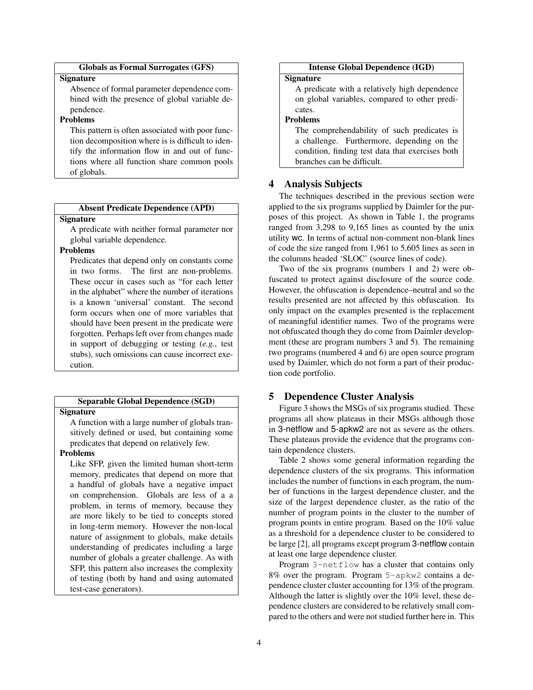# Globals as Formal Surrogates (GFS)

#### **Signature**

Absence of formal parameter dependence combined with the presence of global variable dependence.

# Problems

This pattern is often associated with poor function decomposition where is is difficult to identify the information flow in and out of functions where all function share common pools of globals.

#### Absent Predicate Dependence (APD)

### **Signature**

A predicate with neither formal parameter nor global variable dependence.

# Problems

Predicates that depend only on constants come in two forms. The first are non-problems. These occur in cases such as "for each letter in the alphabet" where the number of iterations is a known 'universal' constant. The second form occurs when one of more variables that should have been present in the predicate were forgotten. Perhaps left over from changes made in support of debugging or testing (*e.g.*, test stubs), such omissions can cause incorrect execution.

#### Separable Global Dependence (SGD)

# **Signature**

A function with a large number of globals transitively defined or used, but containing some predicates that depend on relatively few.

### Problems

Like SFP, given the limited human short-term memory, predicates that depend on more that a handful of globals have a negative impact on comprehension. Globals are less of a a problem, in terms of memory, because they are more likely to be tied to concepts stored in long-term memory. However the non-local nature of assignment to globals, make details understanding of predicates including a large number of globals a greater challenge. As with SFP, this pattern also increases the complexity of testing (both by hand and using automated test-case generators).

# Intense Global Dependence (IGD)

#### **Signature**

A predicate with a relatively high dependence on global variables, compared to other predicates.

# Problems

The comprehendability of such predicates is a challenge. Furthermore, depending on the condition, finding test data that exercises both branches can be difficult.

#### 4 Analysis Subjects

The techniques described in the previous section were applied to the six programs supplied by Daimler for the purposes of this project. As shown in Table 1, the programs ranged from 3,298 to 9,165 lines as counted by the unix utility wc. In terms of actual non-comment non-blank lines of code the size ranged from 1,961 to 5,605 lines as seen in the columns headed 'SLOC' (source lines of code).

Two of the six programs (numbers 1 and 2) were obfuscated to protect against disclosure of the source code. However, the obfuscation is dependence–neutral and so the results presented are not affected by this obfuscation. Its only impact on the examples presented is the replacement of meaningful identifier names. Two of the programs were not obfuscated though they do come from Daimler development (these are program numbers 3 and 5). The remaining two programs (numbered 4 and 6) are open source program used by Daimler, which do not form a part of their production code portfolio.

# 5 Dependence Cluster Analysis

Figure 3 shows the MSGs of six programs studied. These programs all show plateaus in their MSGs although those in 3-netflow and 5-apkw2 are not as severe as the others. These plateaus provide the evidence that the programs contain dependence clusters.

Table 2 shows some general information regarding the dependence clusters of the six programs. This information includes the number of functions in each program, the number of functions in the largest dependence cluster, and the size of the largest dependence cluster, as the ratio of the number of program points in the cluster to the number of program points in entire program. Based on the 10% value as a threshold for a dependence cluster to be considered to be large [2], all programs except program 3-netflow contain at least one large dependence cluster.

Program 3-netflow has a cluster that contains only 8% over the program. Program 5-apkw2 contains a dependence cluster cluster accounting for 13% of the program. Although the latter is slightly over the 10% level, these dependence clusters are considered to be relatively small compared to the others and were not studied further here in. This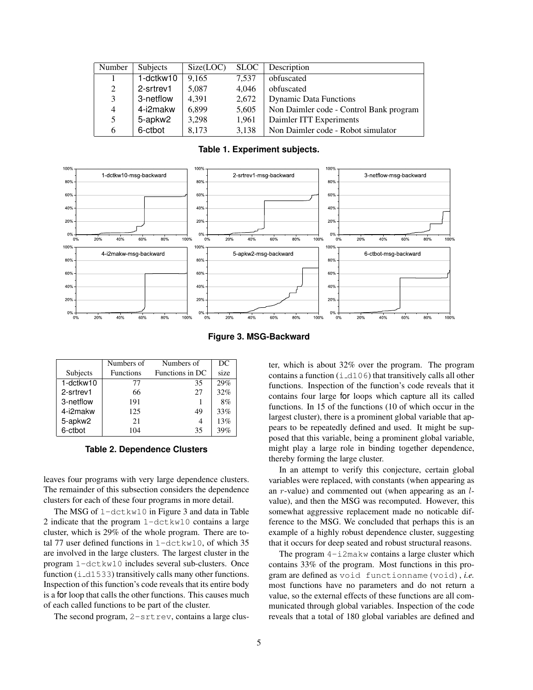| Number         | <b>Subjects</b> | Size(LOC) | <b>SLOC</b> | Description                             |
|----------------|-----------------|-----------|-------------|-----------------------------------------|
|                | $1$ -dctkw10    | 9,165     | 7,537       | obfuscated                              |
| 2              | 2-srtrev1       | 5,087     | 4,046       | obfuscated                              |
| 3              | 3-netflow       | 4,391     | 2,672       | <b>Dynamic Data Functions</b>           |
| $\overline{4}$ | 4-i2makw        | 6,899     | 5,605       | Non Daimler code - Control Bank program |
| 5              | 5-apkw2         | 3,298     | 1,961       | Daimler ITT Experiments                 |
| 6              | 6-ctbot         | 8,173     | 3,138       | Non Daimler code - Robot simulator      |

**Table 1. Experiment subjects.**





|           | Numbers of       | Numbers of      | DC   |
|-----------|------------------|-----------------|------|
| Subjects  | <b>Functions</b> | Functions in DC | size |
| 1-dctkw10 | 77               | 35              | 29%  |
| 2-srtrev1 | 66               | 27              | 32%  |
| 3-netflow | 191              |                 | 8%   |
| 4-i2makw  | 125              | 49              | 33%  |
| 5-apkw2   | 21               | 4               | 13%  |
| 6-ctbot   | 104              | 35              | 39%  |

#### **Table 2. Dependence Clusters**

leaves four programs with very large dependence clusters. The remainder of this subsection considers the dependence clusters for each of these four programs in more detail.

The MSG of 1-dctkw10 in Figure 3 and data in Table 2 indicate that the program 1-dctkw10 contains a large cluster, which is 29% of the whole program. There are total 77 user defined functions in 1-dctkw10, of which 35 are involved in the large clusters. The largest cluster in the program 1-dctkw10 includes several sub-clusters. Once function  $(i_d1533)$  transitively calls many other functions. Inspection of this function's code reveals that its entire body is a for loop that calls the other functions. This causes much of each called functions to be part of the cluster.

The second program,  $2$ -srtrev, contains a large clus-

ter, which is about 32% over the program. The program contains a function  $(i_d106)$  that transitively calls all other functions. Inspection of the function's code reveals that it contains four large for loops which capture all its called functions. In 15 of the functions (10 of which occur in the largest cluster), there is a prominent global variable that appears to be repeatedly defined and used. It might be supposed that this variable, being a prominent global variable, might play a large role in binding together dependence, thereby forming the large cluster.

In an attempt to verify this conjecture, certain global variables were replaced, with constants (when appearing as an  $r$ -value) and commented out (when appearing as an  $l$ value), and then the MSG was recomputed. However, this somewhat aggressive replacement made no noticable difference to the MSG. We concluded that perhaps this is an example of a highly robust dependence cluster, suggesting that it occurs for deep seated and robust structural reasons.

The program 4-i2makw contains a large cluster which contains 33% of the program. Most functions in this program are defined as void functionname(void), *i.e.* most functions have no parameters and do not return a value, so the external effects of these functions are all communicated through global variables. Inspection of the code reveals that a total of 180 global variables are defined and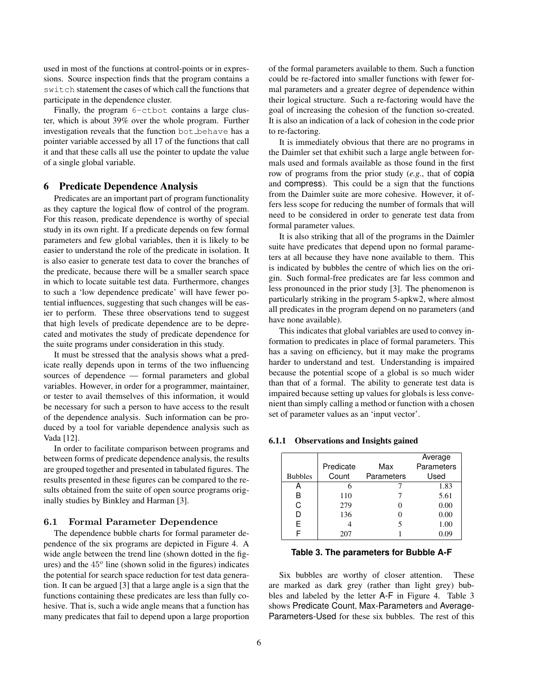used in most of the functions at control-points or in expressions. Source inspection finds that the program contains a switch statement the cases of which call the functions that participate in the dependence cluster.

Finally, the program 6-ctbot contains a large cluster, which is about 39% over the whole program. Further investigation reveals that the function bot behave has a pointer variable accessed by all 17 of the functions that call it and that these calls all use the pointer to update the value of a single global variable.

### 6 Predicate Dependence Analysis

Predicates are an important part of program functionality as they capture the logical flow of control of the program. For this reason, predicate dependence is worthy of special study in its own right. If a predicate depends on few formal parameters and few global variables, then it is likely to be easier to understand the role of the predicate in isolation. It is also easier to generate test data to cover the branches of the predicate, because there will be a smaller search space in which to locate suitable test data. Furthermore, changes to such a 'low dependence predicate' will have fewer potential influences, suggesting that such changes will be easier to perform. These three observations tend to suggest that high levels of predicate dependence are to be deprecated and motivates the study of predicate dependence for the suite programs under consideration in this study.

It must be stressed that the analysis shows what a predicate really depends upon in terms of the two influencing sources of dependence — formal parameters and global variables. However, in order for a programmer, maintainer, or tester to avail themselves of this information, it would be necessary for such a person to have access to the result of the dependence analysis. Such information can be produced by a tool for variable dependence analysis such as Vada [12].

In order to facilitate comparison between programs and between forms of predicate dependence analysis, the results are grouped together and presented in tabulated figures. The results presented in these figures can be compared to the results obtained from the suite of open source programs originally studies by Binkley and Harman [3].

#### 6.1 Formal Parameter Dependence

The dependence bubble charts for formal parameter dependence of the six programs are depicted in Figure 4. A wide angle between the trend line (shown dotted in the figures) and the  $45^{\circ}$  line (shown solid in the figures) indicates the potential for search space reduction for test data generation. It can be argued [3] that a large angle is a sign that the functions containing these predicates are less than fully cohesive. That is, such a wide angle means that a function has many predicates that fail to depend upon a large proportion of the formal parameters available to them. Such a function could be re-factored into smaller functions with fewer formal parameters and a greater degree of dependence within their logical structure. Such a re-factoring would have the goal of increasing the cohesion of the function so-created. It is also an indication of a lack of cohesion in the code prior to re-factoring.

It is immediately obvious that there are no programs in the Daimler set that exhibit such a large angle between formals used and formals available as those found in the first row of programs from the prior study (*e.g.*, that of copia and compress). This could be a sign that the functions from the Daimler suite are more cohesive. However, it offers less scope for reducing the number of formals that will need to be considered in order to generate test data from formal parameter values.

It is also striking that all of the programs in the Daimler suite have predicates that depend upon no formal parameters at all because they have none available to them. This is indicated by bubbles the centre of which lies on the origin. Such formal-free predicates are far less common and less pronounced in the prior study [3]. The phenomenon is particularly striking in the program 5-apkw2, where almost all predicates in the program depend on no parameters (and have none available).

This indicates that global variables are used to convey information to predicates in place of formal parameters. This has a saving on efficiency, but it may make the programs harder to understand and test. Understanding is impaired because the potential scope of a global is so much wider than that of a formal. The ability to generate test data is impaired because setting up values for globals is less convenient than simply calling a method or function with a chosen set of parameter values as an 'input vector'.

#### 6.1.1 Observations and Insights gained

|                |           |            | Average    |
|----------------|-----------|------------|------------|
|                | Predicate | Max        | Parameters |
| <b>Bubbles</b> | Count     | Parameters | Used       |
| А              | 6         |            | 1.83       |
| В              | 110       |            | 5.61       |
| C              | 279       |            | 0.00       |
| D              | 136       |            | 0.00       |
| F              |           | 5          | 1.00       |
|                | 207       |            |            |

#### **Table 3. The parameters for Bubble A-F**

Six bubbles are worthy of closer attention. These are marked as dark grey (rather than light grey) bubbles and labeled by the letter A-F in Figure 4. Table 3 shows Predicate Count, Max-Parameters and Average-Parameters-Used for these six bubbles. The rest of this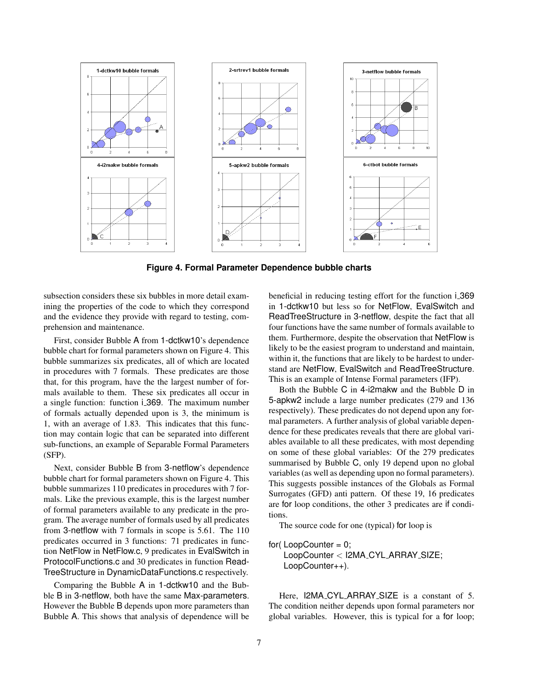

**Figure 4. Formal Parameter Dependence bubble charts**

subsection considers these six bubbles in more detail examining the properties of the code to which they correspond and the evidence they provide with regard to testing, comprehension and maintenance.

First, consider Bubble A from 1-dctkw10's dependence bubble chart for formal parameters shown on Figure 4. This bubble summarizes six predicates, all of which are located in procedures with 7 formals. These predicates are those that, for this program, have the the largest number of formals available to them. These six predicates all occur in a single function: function i 369. The maximum number of formals actually depended upon is 3, the minimum is 1, with an average of 1.83. This indicates that this function may contain logic that can be separated into different sub-functions, an example of Separable Formal Parameters (SFP).

Next, consider Bubble B from 3-netflow's dependence bubble chart for formal parameters shown on Figure 4. This bubble summarizes 110 predicates in procedures with 7 formals. Like the previous example, this is the largest number of formal parameters available to any predicate in the program. The average number of formals used by all predicates from 3-netflow with 7 formals in scope is 5.61. The 110 predicates occurred in 3 functions: 71 predicates in function NetFlow in NetFlow.c, 9 predicates in EvalSwitch in ProtocolFunctions.c and 30 predicates in function Read-TreeStructure in DynamicDataFunctions.c respectively.

Comparing the Bubble A in 1-dctkw10 and the Bubble B in 3-netflow, both have the same Max-parameters. However the Bubble B depends upon more parameters than Bubble A. This shows that analysis of dependence will be beneficial in reducing testing effort for the function i 369 in 1-dctkw10 but less so for NetFlow, EvalSwitch and ReadTreeStructure in 3-netflow, despite the fact that all four functions have the same number of formals available to them. Furthermore, despite the observation that NetFlow is likely to be the easiest program to understand and maintain, within it, the functions that are likely to be hardest to understand are NetFlow, EvalSwitch and ReadTreeStructure. This is an example of Intense Formal parameters (IFP).

Both the Bubble C in 4-i2makw and the Bubble D in 5-apkw2 include a large number predicates (279 and 136 respectively). These predicates do not depend upon any formal parameters. A further analysis of global variable dependence for these predicates reveals that there are global variables available to all these predicates, with most depending on some of these global variables: Of the 279 predicates summarised by Bubble C, only 19 depend upon no global variables (as well as depending upon no formal parameters). This suggests possible instances of the Globals as Formal Surrogates (GFD) anti pattern. Of these 19, 16 predicates are for loop conditions, the other 3 predicates are if conditions.

The source code for one (typical) for loop is

for( $LoopCounter = 0$ ; LoopCounter < I2MA\_CYL\_ARRAY\_SIZE; LoopCounter++).

Here, I2MA\_CYL\_ARRAY\_SIZE is a constant of 5. The condition neither depends upon formal parameters nor global variables. However, this is typical for a for loop;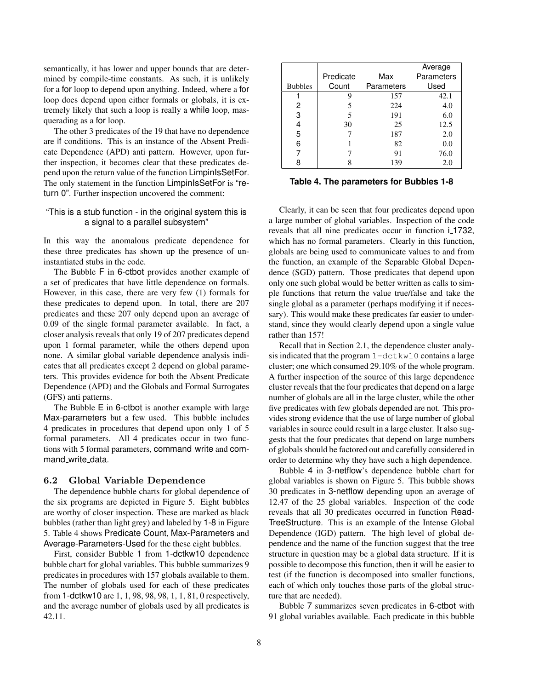semantically, it has lower and upper bounds that are determined by compile-time constants. As such, it is unlikely for a for loop to depend upon anything. Indeed, where a for loop does depend upon either formals or globals, it is extremely likely that such a loop is really a while loop, masquerading as a for loop.

The other 3 predicates of the 19 that have no dependence are if conditions. This is an instance of the Absent Predicate Dependence (APD) anti pattern. However, upon further inspection, it becomes clear that these predicates depend upon the return value of the function LimpinIsSetFor. The only statement in the function LimpinIsSetFor is "return 0". Further inspection uncovered the comment:

### "This is a stub function - in the original system this is a signal to a parallel subsystem"

In this way the anomalous predicate dependence for these three predicates has shown up the presence of uninstantiated stubs in the code.

The Bubble F in 6-ctbot provides another example of a set of predicates that have little dependence on formals. However, in this case, there are very few (1) formals for these predicates to depend upon. In total, there are 207 predicates and these 207 only depend upon an average of 0.09 of the single formal parameter available. In fact, a closer analysis reveals that only 19 of 207 predicates depend upon 1 formal parameter, while the others depend upon none. A similar global variable dependence analysis indicates that all predicates except 2 depend on global parameters. This provides evidence for both the Absent Predicate Dependence (APD) and the Globals and Formal Surrogates (GFS) anti patterns.

The Bubble E in 6-ctbot is another example with large Max-parameters but a few used. This bubble includes 4 predicates in procedures that depend upon only 1 of 5 formal parameters. All 4 predicates occur in two functions with 5 formal parameters, command write and command\_write\_data.

#### 6.2 Global Variable Dependence

The dependence bubble charts for global dependence of the six programs are depicted in Figure 5. Eight bubbles are worthy of closer inspection. These are marked as black bubbles (rather than light grey) and labeled by 1-8 in Figure 5. Table 4 shows Predicate Count, Max-Parameters and Average-Parameters-Used for the these eight bubbles.

First, consider Bubble 1 from 1-dctkw10 dependence bubble chart for global variables. This bubble summarizes 9 predicates in procedures with 157 globals available to them. The number of globals used for each of these predicates from 1-dctkw10 are 1, 1, 98, 98, 98, 1, 1, 81, 0 respectively, and the average number of globals used by all predicates is 42.11.

|                |           |            | Average    |
|----------------|-----------|------------|------------|
|                | Predicate | Max        | Parameters |
| <b>Bubbles</b> | Count     | Parameters | Used       |
|                | 9         | 157        | 42.1       |
| 2              |           | 224        | 4.0        |
| 3              | 5         | 191        | 6.0        |
| 4              | 30        | 25         | 12.5       |
| 5              |           | 187        | 2.0        |
| 6              |           | 82         | 0.0        |
|                |           | 91         | 76.0       |
| 8              |           | 139        | 2.0        |

**Table 4. The parameters for Bubbles 1-8**

Clearly, it can be seen that four predicates depend upon a large number of global variables. Inspection of the code reveals that all nine predicates occur in function  $i$ <sub>-1732</sub>, which has no formal parameters. Clearly in this function, globals are being used to communicate values to and from the function, an example of the Separable Global Dependence (SGD) pattern. Those predicates that depend upon only one such global would be better written as calls to simple functions that return the value true/false and take the single global as a parameter (perhaps modifying it if necessary). This would make these predicates far easier to understand, since they would clearly depend upon a single value rather than 157!

Recall that in Section 2.1, the dependence cluster analysis indicated that the program 1-dctkw10 contains a large cluster; one which consumed 29.10% of the whole program. A further inspection of the source of this large dependence cluster reveals that the four predicates that depend on a large number of globals are all in the large cluster, while the other five predicates with few globals depended are not. This provides strong evidence that the use of large number of global variables in source could result in a large cluster. It also suggests that the four predicates that depend on large numbers of globals should be factored out and carefully considered in order to determine why they have such a high dependence.

Bubble 4 in 3-netflow's dependence bubble chart for global variables is shown on Figure 5. This bubble shows 30 predicates in 3-netflow depending upon an average of 12.47 of the 25 global variables. Inspection of the code reveals that all 30 predicates occurred in function Read-TreeStructure. This is an example of the Intense Global Dependence (IGD) pattern. The high level of global dependence and the name of the function suggest that the tree structure in question may be a global data structure. If it is possible to decompose this function, then it will be easier to test (if the function is decomposed into smaller functions, each of which only touches those parts of the global structure that are needed).

Bubble 7 summarizes seven predicates in 6-ctbot with 91 global variables available. Each predicate in this bubble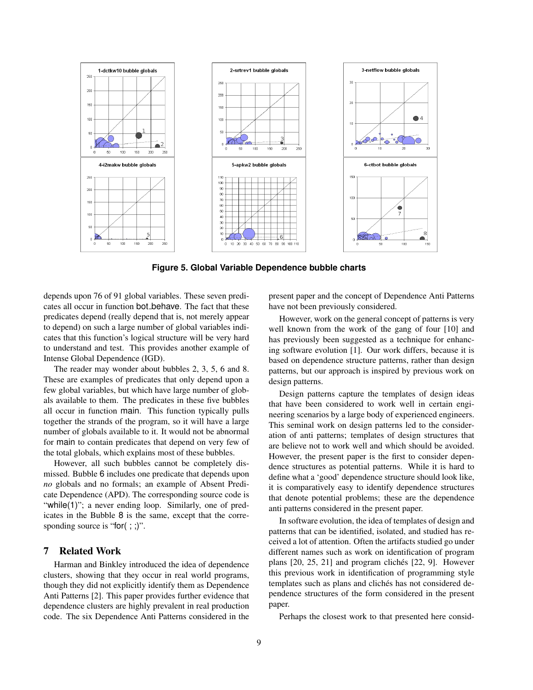

**Figure 5. Global Variable Dependence bubble charts**

depends upon 76 of 91 global variables. These seven predicates all occur in function bot\_behave. The fact that these predicates depend (really depend that is, not merely appear to depend) on such a large number of global variables indicates that this function's logical structure will be very hard to understand and test. This provides another example of Intense Global Dependence (IGD).

The reader may wonder about bubbles 2, 3, 5, 6 and 8. These are examples of predicates that only depend upon a few global variables, but which have large number of globals available to them. The predicates in these five bubbles all occur in function main. This function typically pulls together the strands of the program, so it will have a large number of globals available to it. It would not be abnormal for main to contain predicates that depend on very few of the total globals, which explains most of these bubbles.

However, all such bubbles cannot be completely dismissed. Bubble 6 includes one predicate that depends upon *no* globals and no formals; an example of Absent Predicate Dependence (APD). The corresponding source code is "while(1)"; a never ending loop. Similarly, one of predicates in the Bubble 8 is the same, except that the corresponding source is "for(;;)".

# 7 Related Work

Harman and Binkley introduced the idea of dependence clusters, showing that they occur in real world programs, though they did not explicitly identify them as Dependence Anti Patterns [2]. This paper provides further evidence that dependence clusters are highly prevalent in real production code. The six Dependence Anti Patterns considered in the

present paper and the concept of Dependence Anti Patterns have not been previously considered.

However, work on the general concept of patterns is very well known from the work of the gang of four [10] and has previously been suggested as a technique for enhancing software evolution [1]. Our work differs, because it is based on dependence structure patterns, rather than design patterns, but our approach is inspired by previous work on design patterns.

Design patterns capture the templates of design ideas that have been considered to work well in certain engineering scenarios by a large body of experienced engineers. This seminal work on design patterns led to the consideration of anti patterns; templates of design structures that are believe not to work well and which should be avoided. However, the present paper is the first to consider dependence structures as potential patterns. While it is hard to define what a 'good' dependence structure should look like, it is comparatively easy to identify dependence structures that denote potential problems; these are the dependence anti patterns considered in the present paper.

In software evolution, the idea of templates of design and patterns that can be identified, isolated, and studied has received a lot of attention. Often the artifacts studied go under different names such as work on identification of program plans  $[20, 25, 21]$  and program clichés  $[22, 9]$ . However this previous work in identification of programming style templates such as plans and clichés has not considered dependence structures of the form considered in the present paper.

Perhaps the closest work to that presented here consid-